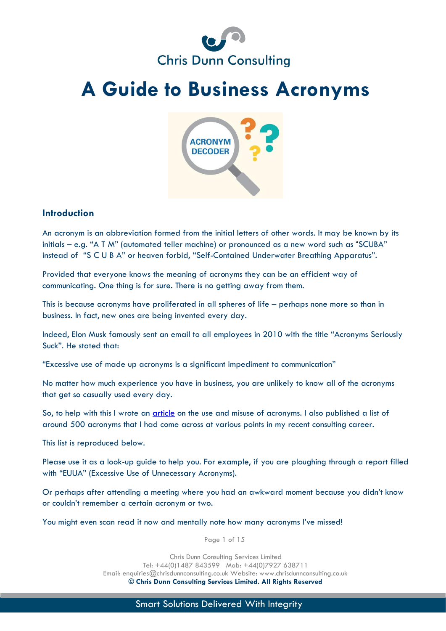

## **A Guide to Business Acronyms**



## **Introduction**

An acronym is an abbreviation formed from the initial letters of other words. It may be known by its initials – e.g. "A T M" (automated teller machine) or pronounced as a new word such as "SCUBA" instead of "S C U B A" or heaven forbid, "Self-Contained Underwater Breathing Apparatus".

Provided that everyone knows the meaning of acronyms they can be an efficient way of communicating. One thing is for sure. There is no getting away from them.

This is because acronyms have proliferated in all spheres of life – perhaps none more so than in business. In fact, new ones are being invented every day.

Indeed, Elon Musk famously sent an email to all employees in 2010 with the title "Acronyms Seriously Suck". He stated that:

"Excessive use of made up acronyms is a significant impediment to communication"

No matter how much experience you have in business, you are unlikely to know all of the acronyms that get so casually used every day.

So, to help with this I wrote an **article** on the use and misuse of acronyms. I also published a list of around 500 acronyms that I had come across at various points in my recent consulting career.

This list is reproduced below.

Please use it as a look-up guide to help you. For example, if you are ploughing through a report filled with "EUUA" (Excessive Use of Unnecessary Acronyms).

Or perhaps after attending a meeting where you had an awkward moment because you didn't know or couldn't remember a certain acronym or two.

You might even scan read it now and mentally note how many acronyms I've missed!

Page 1 of 15

Chris Dunn Consulting Services Limited Tel: +44(0)1487 843599 Mob: +44(0)7927 638711 Email: enquiries[@chrisdunnconsulting.co.uk We](mailto:chris.dunn1@btconnect.com%20W)bsite: [www.chrisdunnconsulting.co.uk](http://www.chrisdunnconsulting.co.uk/) **© Chris Dunn Consulting Services Limited. All Rights Reserved**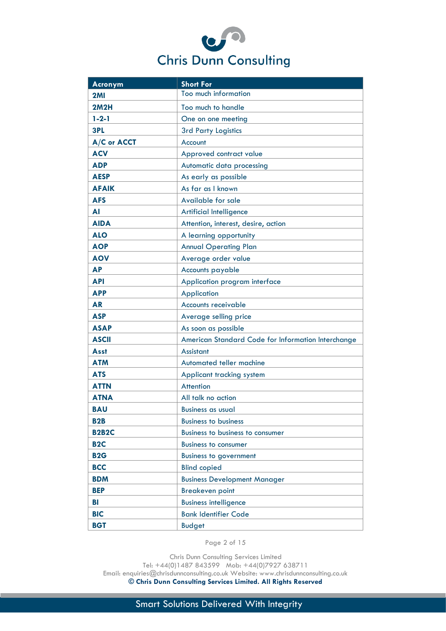| to F <sup>or</sup> |                              |
|--------------------|------------------------------|
|                    | <b>Chris Dunn Consulting</b> |

| Acronym          | <b>Short For</b>                                   |  |
|------------------|----------------------------------------------------|--|
| 2M <sub>l</sub>  | Too much information                               |  |
| 2M2H             | Too much to handle                                 |  |
| $1 - 2 - 1$      | One on one meeting                                 |  |
| 3PL              | <b>3rd Party Logistics</b>                         |  |
| A/C or ACCT      | Account                                            |  |
| <b>ACV</b>       | Approved contract value                            |  |
| <b>ADP</b>       | Automatic data processing                          |  |
| <b>AESP</b>      | As early as possible                               |  |
| <b>AFAIK</b>     | As far as I known                                  |  |
| <b>AFS</b>       | Available for sale                                 |  |
| AI               | <b>Artificial Intelligence</b>                     |  |
| <b>AIDA</b>      | Attention, interest, desire, action                |  |
| <b>ALO</b>       | A learning opportunity                             |  |
| <b>AOP</b>       | <b>Annual Operating Plan</b>                       |  |
| <b>AOV</b>       | Average order value                                |  |
| <b>AP</b>        | Accounts payable                                   |  |
| <b>API</b>       | Application program interface                      |  |
| <b>APP</b>       | Application                                        |  |
| <b>AR</b>        | Accounts receivable                                |  |
| <b>ASP</b>       | Average selling price                              |  |
| <b>ASAP</b>      | As soon as possible                                |  |
| <b>ASCII</b>     | American Standard Code for Information Interchange |  |
| Asst             | <b>Assistant</b>                                   |  |
| <b>ATM</b>       | Automated teller machine                           |  |
| <b>ATS</b>       | Applicant tracking system                          |  |
| <b>ATTN</b>      | <b>Attention</b>                                   |  |
| <b>ATNA</b>      | All talk no action                                 |  |
| <b>BAU</b>       | <b>Business as usual</b>                           |  |
| <b>B2B</b>       | <b>Business to business</b>                        |  |
| <b>B2B2C</b>     | Business to business to consumer                   |  |
| B <sub>2</sub> C | <b>Business to consumer</b>                        |  |
| <b>B2G</b>       | <b>Business to government</b>                      |  |
| <b>BCC</b>       | <b>Blind copied</b>                                |  |
| <b>BDM</b>       | <b>Business Development Manager</b>                |  |
| <b>BEP</b>       | <b>Breakeven point</b>                             |  |
| BI               | <b>Business intelligence</b>                       |  |
| <b>BIC</b>       | <b>Bank Identifier Code</b>                        |  |
| <b>BGT</b>       | <b>Budget</b>                                      |  |

Page 2 of 15

Chris Dunn Consulting Services Limited

Tel: +44(0)1487 843599 Mob: +44(0)7927 638711

Email: enquiries[@chrisdunnconsulting.co.uk We](mailto:chris.dunn1@btconnect.com%20W)bsite: [www.chrisdunnconsulting.co.uk](http://www.chrisdunnconsulting.co.uk/) **© Chris Dunn Consulting Services Limited. All Rights Reserved**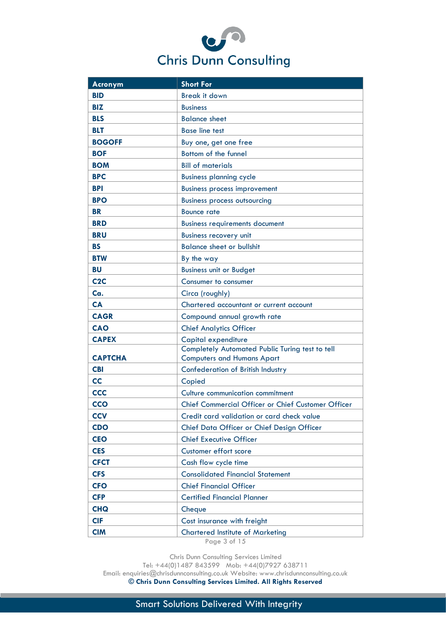| to $H^{\bullet}$ |                              |
|------------------|------------------------------|
|                  | <b>Chris Dunn Consulting</b> |

| Acronym        | <b>Short For</b>                                          |  |
|----------------|-----------------------------------------------------------|--|
| <b>BID</b>     | <b>Break it down</b>                                      |  |
| <b>BIZ</b>     | <b>Business</b>                                           |  |
| <b>BLS</b>     | <b>Balance sheet</b>                                      |  |
| <b>BLT</b>     | <b>Base line test</b>                                     |  |
| <b>BOGOFF</b>  | Buy one, get one free                                     |  |
| <b>BOF</b>     | Bottom of the funnel                                      |  |
| <b>BOM</b>     | <b>Bill of materials</b>                                  |  |
| <b>BPC</b>     | <b>Business planning cycle</b>                            |  |
| <b>BPI</b>     | <b>Business process improvement</b>                       |  |
| <b>BPO</b>     | <b>Business process outsourcing</b>                       |  |
| <b>BR</b>      | <b>Bounce rate</b>                                        |  |
| <b>BRD</b>     | <b>Business requirements document</b>                     |  |
| <b>BRU</b>     | <b>Business recovery unit</b>                             |  |
| <b>BS</b>      | <b>Balance sheet or bullshit</b>                          |  |
| <b>BTW</b>     | By the way                                                |  |
| <b>BU</b>      | <b>Business unit or Budget</b>                            |  |
| C2C            | Consumer to consumer                                      |  |
| Ca.            | Circa (roughly)                                           |  |
| <b>CA</b>      | Chartered accountant or current account                   |  |
| <b>CAGR</b>    | Compound annual growth rate                               |  |
| <b>CAO</b>     | <b>Chief Analytics Officer</b>                            |  |
| <b>CAPEX</b>   | Capital expenditure                                       |  |
|                | Completely Automated Public Turing test to tell           |  |
| <b>CAPTCHA</b> | <b>Computers and Humans Apart</b>                         |  |
| <b>CBI</b>     | <b>Confederation of British Industry</b>                  |  |
| <b>CC</b>      | Copied                                                    |  |
| <b>CCC</b>     | Culture communication commitment                          |  |
| <b>CCO</b>     | <b>Chief Commercial Officer or Chief Customer Officer</b> |  |
| <b>CCV</b>     | Credit card validation or card check value                |  |
| <b>CDO</b>     | Chief Data Officer or Chief Design Officer                |  |
| <b>CEO</b>     | <b>Chief Executive Officer</b>                            |  |
| <b>CES</b>     | <b>Customer effort score</b>                              |  |
| <b>CFCT</b>    | Cash flow cycle time                                      |  |
| <b>CFS</b>     | <b>Consolidated Financial Statement</b>                   |  |
| <b>CFO</b>     | <b>Chief Financial Officer</b>                            |  |
| <b>CFP</b>     | <b>Certified Financial Planner</b>                        |  |
| <b>CHQ</b>     | Cheque                                                    |  |
| <b>CIF</b>     | Cost insurance with freight                               |  |
| <b>CIM</b>     | <b>Chartered Institute of Marketing</b>                   |  |

Page 3 of 15

Chris Dunn Consulting Services Limited

Tel: +44(0)1487 843599 Mob: +44(0)7927 638711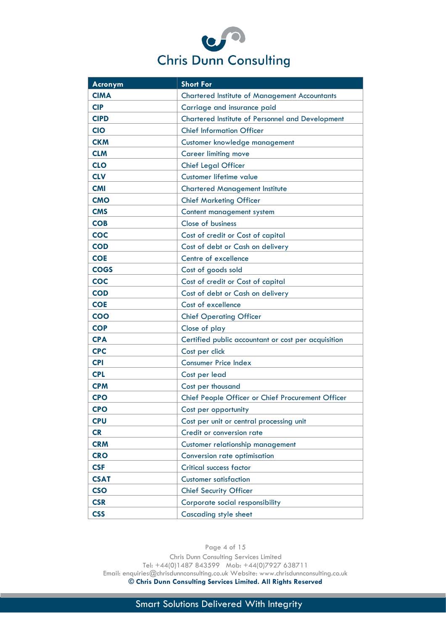

| Acronym     | <b>Short For</b>                                     |  |
|-------------|------------------------------------------------------|--|
| <b>CIMA</b> | <b>Chartered Institute of Management Accountants</b> |  |
| <b>CIP</b>  | Carriage and insurance paid                          |  |
| <b>CIPD</b> | Chartered Institute of Personnel and Development     |  |
| <b>CIO</b>  | <b>Chief Information Officer</b>                     |  |
| <b>CKM</b>  | Customer knowledge management                        |  |
| <b>CLM</b>  | <b>Career limiting move</b>                          |  |
| <b>CLO</b>  | <b>Chief Legal Officer</b>                           |  |
| <b>CLV</b>  | <b>Customer lifetime value</b>                       |  |
| <b>CMI</b>  | <b>Chartered Management Institute</b>                |  |
| <b>CMO</b>  | <b>Chief Marketing Officer</b>                       |  |
| <b>CMS</b>  | Content management system                            |  |
| <b>COB</b>  | Close of business                                    |  |
| <b>COC</b>  | Cost of credit or Cost of capital                    |  |
| <b>COD</b>  | Cost of debt or Cash on delivery                     |  |
| <b>COE</b>  | Centre of excellence                                 |  |
| <b>COGS</b> | Cost of goods sold                                   |  |
| <b>COC</b>  | Cost of credit or Cost of capital                    |  |
| <b>COD</b>  | Cost of debt or Cash on delivery                     |  |
| <b>COE</b>  | Cost of excellence                                   |  |
| <b>COO</b>  | <b>Chief Operating Officer</b>                       |  |
| <b>COP</b>  | Close of play                                        |  |
| <b>CPA</b>  | Certified public accountant or cost per acquisition  |  |
| <b>CPC</b>  | Cost per click                                       |  |
| <b>CPI</b>  | <b>Consumer Price Index</b>                          |  |
| <b>CPL</b>  | Cost per lead                                        |  |
| <b>CPM</b>  | Cost per thousand                                    |  |
| <b>CPO</b>  | Chief People Officer or Chief Procurement Officer    |  |
| <b>CPO</b>  | Cost per opportunity                                 |  |
| <b>CPU</b>  | Cost per unit or central processing unit             |  |
| <b>CR</b>   | Credit or conversion rate                            |  |
| <b>CRM</b>  | Customer relationship management                     |  |
| <b>CRO</b>  | Conversion rate optimisation                         |  |
| <b>CSF</b>  | <b>Critical success factor</b>                       |  |
| <b>CSAT</b> | <b>Customer satisfaction</b>                         |  |
| <b>CSO</b>  | <b>Chief Security Officer</b>                        |  |
| <b>CSR</b>  | Corporate social responsibility                      |  |
| <b>CSS</b>  | Cascading style sheet                                |  |

Page 4 of 15

Chris Dunn Consulting Services Limited Tel: +44(0)1487 843599 Mob: +44(0)7927 638711 Email: enquiries[@chrisdunnconsulting.co.uk We](mailto:chris.dunn1@btconnect.com%20W)bsite: [www.chrisdunnconsulting.co.uk](http://www.chrisdunnconsulting.co.uk/) **© Chris Dunn Consulting Services Limited. All Rights Reserved**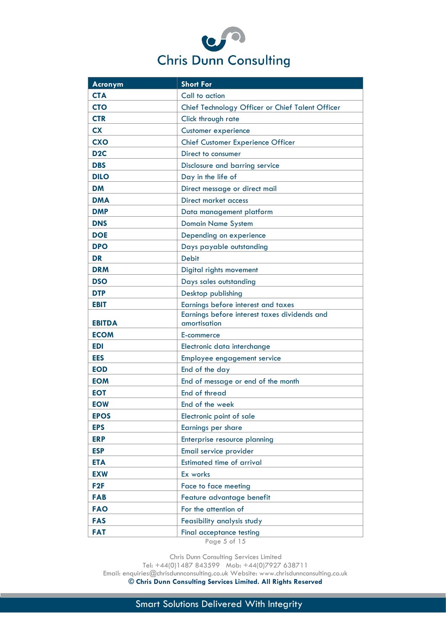| to $H^{\bullet}$ |                       |
|------------------|-----------------------|
|                  | Chris Dunn Consulting |

| <b>Acronym</b>   | <b>Short For</b>                                 |  |
|------------------|--------------------------------------------------|--|
| <b>CTA</b>       | Call to action                                   |  |
| <b>CTO</b>       | Chief Technology Officer or Chief Talent Officer |  |
| <b>CTR</b>       | Click through rate                               |  |
| <b>CX</b>        | <b>Customer experience</b>                       |  |
| <b>CXO</b>       | <b>Chief Customer Experience Officer</b>         |  |
| D <sub>2</sub> C | Direct to consumer                               |  |
| <b>DBS</b>       | Disclosure and barring service                   |  |
| <b>DILO</b>      | Day in the life of                               |  |
| <b>DM</b>        | Direct message or direct mail                    |  |
| <b>DMA</b>       | <b>Direct market access</b>                      |  |
| <b>DMP</b>       | Data management platform                         |  |
| <b>DNS</b>       | <b>Domain Name System</b>                        |  |
| <b>DOE</b>       | Depending on experience                          |  |
| <b>DPO</b>       | Days payable outstanding                         |  |
| <b>DR</b>        | <b>Debit</b>                                     |  |
| <b>DRM</b>       | Digital rights movement                          |  |
| <b>DSO</b>       | Days sales outstanding                           |  |
| <b>DTP</b>       | Desktop publishing                               |  |
| <b>EBIT</b>      | Earnings before interest and taxes               |  |
|                  | Earnings before interest taxes dividends and     |  |
| <b>EBITDA</b>    | amortisation                                     |  |
| <b>ECOM</b>      | E-commerce                                       |  |
| EDI              | Electronic data interchange                      |  |
| <b>EES</b>       | Employee engagement service                      |  |
| <b>EOD</b>       | End of the day                                   |  |
| <b>EOM</b>       | End of message or end of the month               |  |
| <b>EOT</b>       | End of thread                                    |  |
| <b>EOW</b>       | End of the week                                  |  |
| <b>EPOS</b>      | Electronic point of sale                         |  |
| <b>EPS</b>       | Earnings per share                               |  |
| <b>ERP</b>       | Enterprise resource planning                     |  |
| <b>ESP</b>       | Email service provider                           |  |
| <b>ETA</b>       | <b>Estimated time of arrival</b>                 |  |
| <b>EXW</b>       | Ex works                                         |  |
| F2F              | Face to face meeting                             |  |
| <b>FAB</b>       | Feature advantage benefit                        |  |
| <b>FAO</b>       | For the attention of                             |  |
| <b>FAS</b>       | Feasibility analysis study                       |  |
| <b>FAT</b>       | Final acceptance testing                         |  |

Page 5 of 15

Chris Dunn Consulting Services Limited

Tel: +44(0)1487 843599 Mob: +44(0)7927 638711

Email: enquiries[@chrisdunnconsulting.co.uk We](mailto:chris.dunn1@btconnect.com%20W)bsite: [www.chrisdunnconsulting.co.uk](http://www.chrisdunnconsulting.co.uk/) **© Chris Dunn Consulting Services Limited. All Rights Reserved**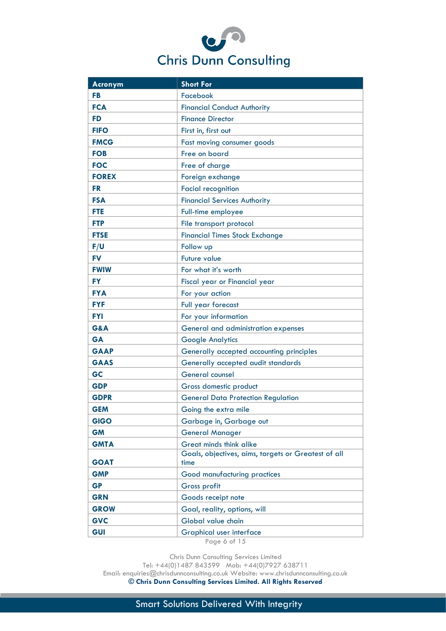| $\bullet$ $\bullet$ |                              |
|---------------------|------------------------------|
|                     | <b>Chris Dunn Consulting</b> |

| <b>Acronym</b> | <b>Short For</b>                                            |  |
|----------------|-------------------------------------------------------------|--|
| <b>FB</b>      | Facebook                                                    |  |
| <b>FCA</b>     | <b>Financial Conduct Authority</b>                          |  |
| FD             | <b>Finance Director</b>                                     |  |
| <b>FIFO</b>    | First in, first out                                         |  |
| <b>FMCG</b>    | Fast moving consumer goods                                  |  |
| <b>FOB</b>     | Free on board                                               |  |
| <b>FOC</b>     | Free of charge                                              |  |
| <b>FOREX</b>   | Foreign exchange                                            |  |
| <b>FR</b>      | <b>Facial recognition</b>                                   |  |
| <b>FSA</b>     | <b>Financial Services Authority</b>                         |  |
| FTE            | Full-time employee                                          |  |
| <b>FTP</b>     | File transport protocol                                     |  |
| <b>FTSE</b>    | <b>Financial Times Stock Exchange</b>                       |  |
| F/U            | Follow up                                                   |  |
| <b>FV</b>      | <b>Future value</b>                                         |  |
| <b>FWIW</b>    | For what it's worth                                         |  |
| <b>FY</b>      | Fiscal year or Financial year                               |  |
| <b>FYA</b>     | For your action                                             |  |
| <b>FYF</b>     | Full year forecast                                          |  |
| <b>FYI</b>     | For your information                                        |  |
| <b>G&amp;A</b> | General and administration expenses                         |  |
| <b>GA</b>      | <b>Google Analytics</b>                                     |  |
| <b>GAAP</b>    | Generally accepted accounting principles                    |  |
| <b>GAAS</b>    | Generally accepted audit standards                          |  |
| <b>GC</b>      | <b>General counsel</b>                                      |  |
| <b>GDP</b>     | Gross domestic product                                      |  |
| <b>GDPR</b>    | <b>General Data Protection Regulation</b>                   |  |
| <b>GEM</b>     | Going the extra mile                                        |  |
| <b>GIGO</b>    | Garbage in, Garbage out                                     |  |
| <b>GM</b>      | <b>General Manager</b>                                      |  |
| <b>GMTA</b>    | Great minds think alike                                     |  |
| <b>GOAT</b>    | Goals, objectives, aims, targets or Greatest of all<br>time |  |
| <b>GMP</b>     | Good manufacturing practices                                |  |
| <b>GP</b>      | Gross profit                                                |  |
| <b>GRN</b>     | Goods receipt note                                          |  |
| <b>GROW</b>    | Goal, reality, options, will                                |  |
| <b>GVC</b>     | Global value chain                                          |  |
| <b>GUI</b>     | <b>Graphical user interface</b>                             |  |
|                |                                                             |  |

Page 6 of 15

Chris Dunn Consulting Services Limited

Tel: +44(0)1487 843599 Mob: +44(0)7927 638711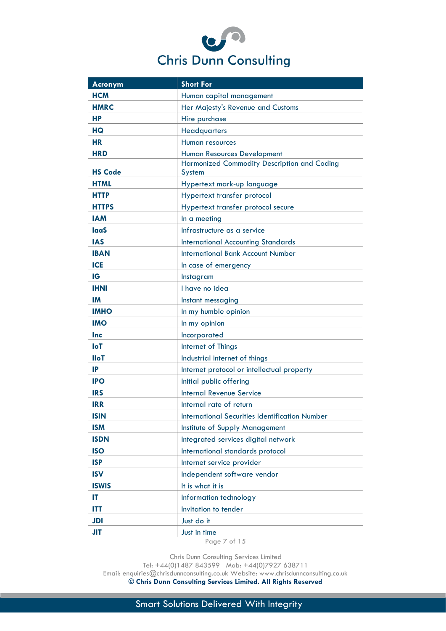| $\bullet$ $\bullet$ |                              |
|---------------------|------------------------------|
|                     | <b>Chris Dunn Consulting</b> |

| Acronym        | <b>Short For</b>                                      |  |
|----------------|-------------------------------------------------------|--|
| <b>HCM</b>     | Human capital management                              |  |
| <b>HMRC</b>    | Her Majesty's Revenue and Customs                     |  |
| HР             | Hire purchase                                         |  |
| HQ             | Headquarters                                          |  |
| HR             | Human resources                                       |  |
| <b>HRD</b>     | Human Resources Development                           |  |
| <b>HS Code</b> | Harmonized Commodity Description and Coding<br>System |  |
| <b>HTML</b>    | Hypertext mark-up language                            |  |
| <b>HTTP</b>    | Hypertext transfer protocol                           |  |
| <b>HTTPS</b>   | Hypertext transfer protocol secure                    |  |
| <b>IAM</b>     | In a meeting                                          |  |
| <b>laaS</b>    | Infrastructure as a service                           |  |
| <b>IAS</b>     | <b>International Accounting Standards</b>             |  |
| <b>IBAN</b>    | <b>International Bank Account Number</b>              |  |
| <b>ICE</b>     | In case of emergency                                  |  |
| IG             | Instagram                                             |  |
| <b>IHNI</b>    | I have no idea                                        |  |
| IM             | Instant messaging                                     |  |
| <b>IMHO</b>    | In my humble opinion                                  |  |
| <b>IMO</b>     | In my opinion                                         |  |
| Inc            | Incorporated                                          |  |
| <b>IoT</b>     | Internet of Things                                    |  |
| <b>IloT</b>    | Industrial internet of things                         |  |
| IP             | Internet protocol or intellectual property            |  |
| <b>IPO</b>     | Initial public offering                               |  |
| <b>IRS</b>     | <b>Internal Revenue Service</b>                       |  |
| <b>IRR</b>     | Internal rate of return                               |  |
| <b>ISIN</b>    | <b>International Securities Identification Number</b> |  |
| <b>ISM</b>     | <b>Institute of Supply Management</b>                 |  |
| <b>ISDN</b>    | Integrated services digital network                   |  |
| <b>ISO</b>     | International standards protocol                      |  |
| <b>ISP</b>     | Internet service provider                             |  |
| <b>ISV</b>     | Independent software vendor                           |  |
| <b>ISWIS</b>   | It is what it is                                      |  |
| IT             | Information technology                                |  |
| ITT            | Invitation to tender                                  |  |
| JDI            | Just do it                                            |  |
| <b>JIT</b>     | Just in time                                          |  |

Page 7 of 15

Chris Dunn Consulting Services Limited

Tel: +44(0)1487 843599 Mob: +44(0)7927 638711

Email: enquiries[@chrisdunnconsulting.co.uk We](mailto:chris.dunn1@btconnect.com%20W)bsite: [www.chrisdunnconsulting.co.uk](http://www.chrisdunnconsulting.co.uk/) **© Chris Dunn Consulting Services Limited. All Rights Reserved**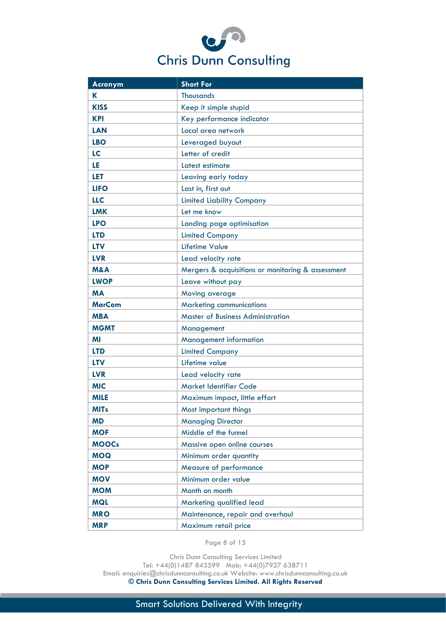| to $H^{\bullet}$ |                              |
|------------------|------------------------------|
|                  | <b>Chris Dunn Consulting</b> |

| Acronym        | <b>Short For</b>                                  |  |  |
|----------------|---------------------------------------------------|--|--|
| K              | <b>Thousands</b>                                  |  |  |
| <b>KISS</b>    | Keep it simple stupid                             |  |  |
| <b>KPI</b>     | Key performance indicator                         |  |  |
| <b>LAN</b>     | Local area network                                |  |  |
| <b>LBO</b>     | Leveraged buyout                                  |  |  |
| LC             | Letter of credit                                  |  |  |
| LE             | Latest estimate                                   |  |  |
| LET            | Leaving early today                               |  |  |
| <b>LIFO</b>    | Last in, first out                                |  |  |
| <b>LLC</b>     | <b>Limited Liability Company</b>                  |  |  |
| <b>LMK</b>     | Let me know                                       |  |  |
| <b>LPO</b>     | Landing page optimisation                         |  |  |
| <b>LTD</b>     | <b>Limited Company</b>                            |  |  |
| <b>LTV</b>     | <b>Lifetime Value</b>                             |  |  |
| <b>LVR</b>     | Lead velocity rate                                |  |  |
| <b>M&amp;A</b> | Mergers & acquisitions or monitoring & assessment |  |  |
| <b>LWOP</b>    | Leave without pay                                 |  |  |
| <b>MA</b>      | Moving average                                    |  |  |
| <b>MarCom</b>  | <b>Marketing communications</b>                   |  |  |
| <b>MBA</b>     | <b>Master of Business Administration</b>          |  |  |
| <b>MGMT</b>    | Management                                        |  |  |
| ΜI             | <b>Management information</b>                     |  |  |
| <b>LTD</b>     | <b>Limited Company</b>                            |  |  |
| <b>LTV</b>     | Lifetime value                                    |  |  |
| <b>LVR</b>     | Lead velocity rate                                |  |  |
| <b>MIC</b>     | <b>Market Identifier Code</b>                     |  |  |
| <b>MILE</b>    | Maximum impact, little effort                     |  |  |
| <b>MITs</b>    | Most important things                             |  |  |
| <b>MD</b>      | <b>Managing Director</b>                          |  |  |
| <b>MOF</b>     | Middle of the funnel                              |  |  |
| <b>MOOCs</b>   | Massive open online courses                       |  |  |
| <b>MOQ</b>     | Minimum order quantity                            |  |  |
| <b>MOP</b>     | Measure of performance                            |  |  |
| <b>MOV</b>     | Minimum order value                               |  |  |
| <b>MOM</b>     | Month on month                                    |  |  |
| <b>MQL</b>     | Marketing qualified lead                          |  |  |
| <b>MRO</b>     | Maintenance, repair and overhaul                  |  |  |
| <b>MRP</b>     | Maximum retail price                              |  |  |

Page 8 of 15

Chris Dunn Consulting Services Limited

Tel: +44(0)1487 843599 Mob: +44(0)7927 638711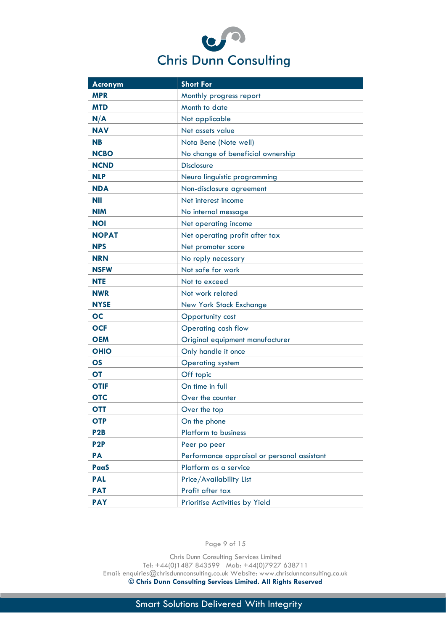| $\bullet$ $\bullet$ |                              |
|---------------------|------------------------------|
|                     | <b>Chris Dunn Consulting</b> |

| Acronym          | <b>Short For</b>                            |  |  |
|------------------|---------------------------------------------|--|--|
| <b>MPR</b>       | Monthly progress report                     |  |  |
| <b>MTD</b>       | Month to date                               |  |  |
| N/A              | Not applicable                              |  |  |
| <b>NAV</b>       | Net assets value                            |  |  |
| <b>NB</b>        | Nota Bene (Note well)                       |  |  |
| <b>NCBO</b>      | No change of beneficial ownership           |  |  |
| <b>NCND</b>      | <b>Disclosure</b>                           |  |  |
| <b>NLP</b>       | Neuro linguistic programming                |  |  |
| <b>NDA</b>       | Non-disclosure agreement                    |  |  |
| <b>NII</b>       | Net interest income                         |  |  |
| <b>NIM</b>       | No internal message                         |  |  |
| <b>NOI</b>       | Net operating income                        |  |  |
| <b>NOPAT</b>     | Net operating profit after tax              |  |  |
| <b>NPS</b>       | Net promoter score                          |  |  |
| <b>NRN</b>       | No reply necessary                          |  |  |
| <b>NSFW</b>      | Not safe for work                           |  |  |
| <b>NTE</b>       | Not to exceed                               |  |  |
| <b>NWR</b>       | Not work related                            |  |  |
| <b>NYSE</b>      | <b>New York Stock Exchange</b>              |  |  |
| <b>OC</b>        | Opportunity cost                            |  |  |
| <b>OCF</b>       | Operating cash flow                         |  |  |
| <b>OEM</b>       | Original equipment manufacturer             |  |  |
| <b>OHIO</b>      | Only handle it once                         |  |  |
| <b>OS</b>        | <b>Operating system</b>                     |  |  |
| <b>OT</b>        | Off topic                                   |  |  |
| <b>OTIF</b>      | On time in full                             |  |  |
| <b>OTC</b>       | Over the counter                            |  |  |
| <b>OTT</b>       | Over the top                                |  |  |
| <b>OTP</b>       | On the phone                                |  |  |
| P <sub>2</sub> B | <b>Platform to business</b>                 |  |  |
| P <sub>2</sub> P | Peer po peer                                |  |  |
| PA               | Performance appraisal or personal assistant |  |  |
| PaaS             | Platform as a service                       |  |  |
| <b>PAL</b>       | Price/Availability List                     |  |  |
| <b>PAT</b>       | Profit after tax                            |  |  |
| <b>PAY</b>       | Prioritise Activities by Yield              |  |  |

Page 9 of 15

Chris Dunn Consulting Services Limited Tel: +44(0)1487 843599 Mob: +44(0)7927 638711 Email: enquiries[@chrisdunnconsulting.co.uk We](mailto:chris.dunn1@btconnect.com%20W)bsite: [www.chrisdunnconsulting.co.uk](http://www.chrisdunnconsulting.co.uk/) **© Chris Dunn Consulting Services Limited. All Rights Reserved**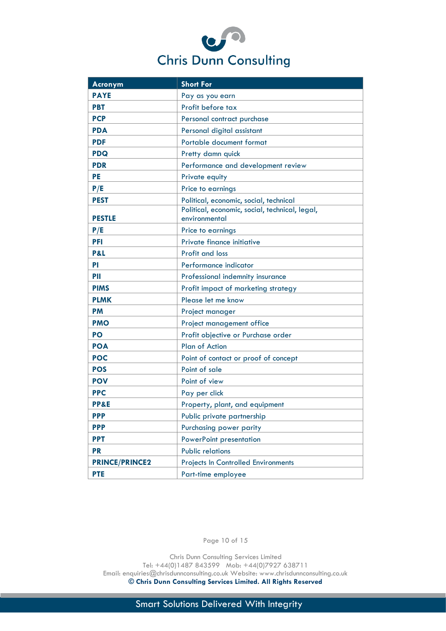| $\bullet$ $\bullet$ |                              |
|---------------------|------------------------------|
|                     | <b>Chris Dunn Consulting</b> |

| Acronym               | <b>Short For</b>                                                |  |
|-----------------------|-----------------------------------------------------------------|--|
| <b>PAYE</b>           | Pay as you earn                                                 |  |
| <b>PBT</b>            | Profit before tax                                               |  |
| <b>PCP</b>            | Personal contract purchase                                      |  |
| <b>PDA</b>            | Personal digital assistant                                      |  |
| <b>PDF</b>            | Portable document format                                        |  |
| <b>PDQ</b>            | Pretty damn quick                                               |  |
| <b>PDR</b>            | Performance and development review                              |  |
| PE                    | Private equity                                                  |  |
| P/E                   | Price to earnings                                               |  |
| <b>PEST</b>           | Political, economic, social, technical                          |  |
| <b>PESTLE</b>         | Political, economic, social, technical, legal,<br>environmental |  |
| P/E                   | Price to earnings                                               |  |
| PFI                   | Private finance initiative                                      |  |
| P&L                   | <b>Profit and loss</b>                                          |  |
| ΡI                    | Performance indicator                                           |  |
| PII                   | Professional indemnity insurance                                |  |
| <b>PIMS</b>           | Profit impact of marketing strategy                             |  |
| <b>PLMK</b>           | Please let me know                                              |  |
| <b>PM</b>             | Project manager                                                 |  |
| <b>PMO</b>            | Project management office                                       |  |
| PO                    | Profit objective or Purchase order                              |  |
| <b>POA</b>            | <b>Plan of Action</b>                                           |  |
| <b>POC</b>            | Point of contact or proof of concept                            |  |
| <b>POS</b>            | Point of sale                                                   |  |
| <b>POV</b>            | Point of view                                                   |  |
| <b>PPC</b>            | Pay per click                                                   |  |
| <b>PP&amp;E</b>       | Property, plant, and equipment                                  |  |
| <b>PPP</b>            | Public private partnership                                      |  |
| <b>PPP</b>            | Purchasing power parity                                         |  |
| <b>PPT</b>            | PowerPoint presentation                                         |  |
| <b>PR</b>             | <b>Public relations</b>                                         |  |
| <b>PRINCE/PRINCE2</b> | <b>Projects In Controlled Environments</b>                      |  |
| <b>PTE</b>            | Part-time employee                                              |  |

Page 10 of 15

Chris Dunn Consulting Services Limited Tel: +44(0)1487 843599 Mob: +44(0)7927 638711 Email: enquiries[@chrisdunnconsulting.co.uk We](mailto:chris.dunn1@btconnect.com%20W)bsite: [www.chrisdunnconsulting.co.uk](http://www.chrisdunnconsulting.co.uk/) **© Chris Dunn Consulting Services Limited. All Rights Reserved**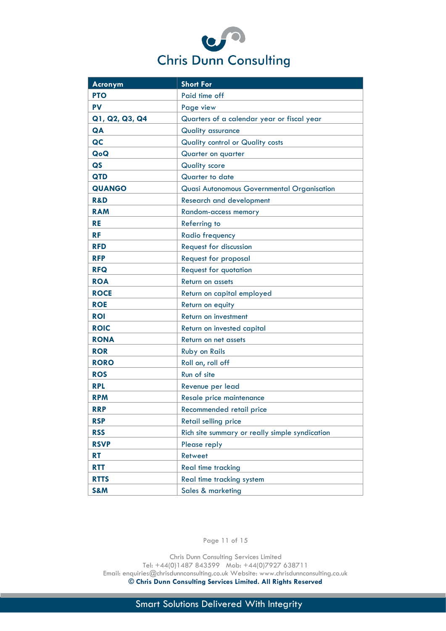| to $H^{\bullet}$ |                              |
|------------------|------------------------------|
|                  | <b>Chris Dunn Consulting</b> |

| Acronym        | <b>Short For</b>                               |  |
|----------------|------------------------------------------------|--|
| <b>PTO</b>     | Paid time off                                  |  |
| <b>PV</b>      | Page view                                      |  |
| Q1, Q2, Q3, Q4 | Quarters of a calendar year or fiscal year     |  |
| QA             | <b>Quality assurance</b>                       |  |
| QC             | Quality control or Quality costs               |  |
| QoQ            | Quarter on quarter                             |  |
| QS             | <b>Quality score</b>                           |  |
| <b>QTD</b>     | Quarter to date                                |  |
| <b>QUANGO</b>  | Quasi Autonomous Governmental Organisation     |  |
| <b>R&amp;D</b> | <b>Research and development</b>                |  |
| <b>RAM</b>     | Random-access memory                           |  |
| RE             | <b>Referring to</b>                            |  |
| RF             | Radio frequency                                |  |
| <b>RFD</b>     | <b>Request for discussion</b>                  |  |
| <b>RFP</b>     | <b>Request for proposal</b>                    |  |
| <b>RFQ</b>     | <b>Request for quotation</b>                   |  |
| <b>ROA</b>     | Return on assets                               |  |
| <b>ROCE</b>    | Return on capital employed                     |  |
| <b>ROE</b>     | Return on equity                               |  |
| <b>ROI</b>     | Return on investment                           |  |
| <b>ROIC</b>    | Return on invested capital                     |  |
| <b>RONA</b>    | Return on net assets                           |  |
| <b>ROR</b>     | <b>Ruby on Rails</b>                           |  |
| <b>RORO</b>    | Roll on, roll off                              |  |
| <b>ROS</b>     | Run of site                                    |  |
| <b>RPL</b>     | Revenue per lead                               |  |
| <b>RPM</b>     | Resale price maintenance                       |  |
| <b>RRP</b>     | Recommended retail price                       |  |
| <b>RSP</b>     | Retail selling price                           |  |
| <b>RSS</b>     | Rich site summary or really simple syndication |  |
| <b>RSVP</b>    | Please reply                                   |  |
| <b>RT</b>      | <b>Retweet</b>                                 |  |
| <b>RTT</b>     | <b>Real time tracking</b>                      |  |
| <b>RTTS</b>    | Real time tracking system                      |  |
| <b>S&amp;M</b> | Sales & marketing                              |  |

Page 11 of 15

Chris Dunn Consulting Services Limited Tel: +44(0)1487 843599 Mob: +44(0)7927 638711 Email: enquiries[@chrisdunnconsulting.co.uk We](mailto:chris.dunn1@btconnect.com%20W)bsite: [www.chrisdunnconsulting.co.uk](http://www.chrisdunnconsulting.co.uk/) **© Chris Dunn Consulting Services Limited. All Rights Reserved**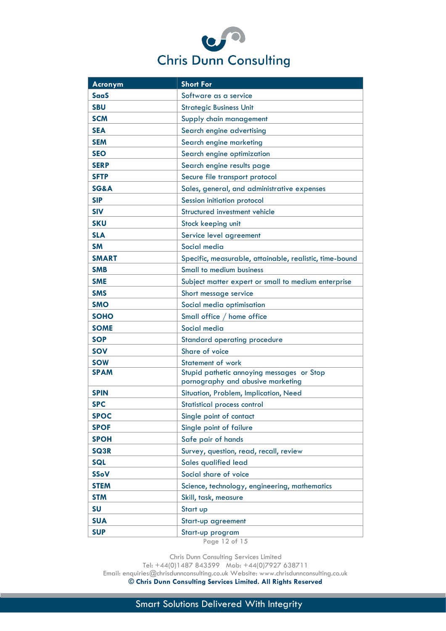| $\bullet$ $\bullet$ |                              |
|---------------------|------------------------------|
|                     | <b>Chris Dunn Consulting</b> |

| Acronym      | <b>Short For</b>                                                               |  |  |
|--------------|--------------------------------------------------------------------------------|--|--|
| <b>SaaS</b>  | Software as a service                                                          |  |  |
| <b>SBU</b>   | <b>Strategic Business Unit</b>                                                 |  |  |
| <b>SCM</b>   | Supply chain management                                                        |  |  |
| <b>SEA</b>   | Search engine advertising                                                      |  |  |
| <b>SEM</b>   | Search engine marketing                                                        |  |  |
| <b>SEO</b>   | Search engine optimization                                                     |  |  |
| <b>SERP</b>  | Search engine results page                                                     |  |  |
| <b>SFTP</b>  | Secure file transport protocol                                                 |  |  |
| SG&A         | Sales, general, and administrative expenses                                    |  |  |
| <b>SIP</b>   | Session initiation protocol                                                    |  |  |
| <b>SIV</b>   | Structured investment vehicle                                                  |  |  |
| <b>SKU</b>   | Stock keeping unit                                                             |  |  |
| <b>SLA</b>   | Service level agreement                                                        |  |  |
| <b>SM</b>    | Social media                                                                   |  |  |
| <b>SMART</b> | Specific, measurable, attainable, realistic, time-bound                        |  |  |
| <b>SMB</b>   | <b>Small to medium business</b>                                                |  |  |
| <b>SME</b>   | Subject matter expert or small to medium enterprise                            |  |  |
| <b>SMS</b>   | Short message service                                                          |  |  |
| <b>SMO</b>   | Social media optimisation                                                      |  |  |
| <b>SOHO</b>  | Small office / home office                                                     |  |  |
| <b>SOME</b>  | Social media                                                                   |  |  |
| <b>SOP</b>   | <b>Standard operating procedure</b>                                            |  |  |
| <b>SOV</b>   | Share of voice                                                                 |  |  |
| <b>SOW</b>   | <b>Statement of work</b>                                                       |  |  |
| <b>SPAM</b>  | Stupid pathetic annoying messages or Stop<br>pornography and abusive marketing |  |  |
| <b>SPIN</b>  | Situation, Problem, Implication, Need                                          |  |  |
| <b>SPC</b>   | <b>Statistical process control</b>                                             |  |  |
| <b>SPOC</b>  | Single point of contact                                                        |  |  |
| <b>SPOF</b>  | Single point of failure                                                        |  |  |
| <b>SPOH</b>  | Safe pair of hands                                                             |  |  |
| SQ3R         | Survey, question, read, recall, review                                         |  |  |
| SQL          | Sales qualified lead                                                           |  |  |
| SSoV         | Social share of voice                                                          |  |  |
| <b>STEM</b>  | Science, technology, engineering, mathematics                                  |  |  |
| <b>STM</b>   | Skill, task, measure                                                           |  |  |
| SU           | Start up                                                                       |  |  |
| <b>SUA</b>   | Start-up agreement                                                             |  |  |
| <b>SUP</b>   | Start-up program                                                               |  |  |

Page 12 of 15

Chris Dunn Consulting Services Limited

Tel: +44(0)1487 843599 Mob: +44(0)7927 638711

Email: enquiries[@chrisdunnconsulting.co.uk We](mailto:chris.dunn1@btconnect.com%20W)bsite: [www.chrisdunnconsulting.co.uk](http://www.chrisdunnconsulting.co.uk/) **© Chris Dunn Consulting Services Limited. All Rights Reserved**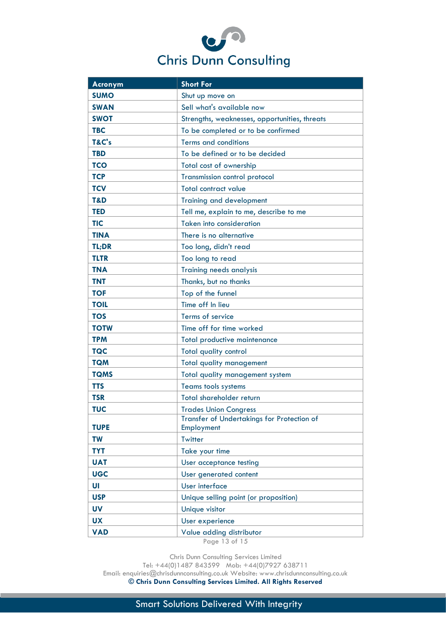| $\bullet$ $\bullet$ |                              |
|---------------------|------------------------------|
|                     | <b>Chris Dunn Consulting</b> |

| Acronym      | <b>Short For</b>                              |  |  |
|--------------|-----------------------------------------------|--|--|
| <b>SUMO</b>  | Shut up move on                               |  |  |
| <b>SWAN</b>  | Sell what's available now                     |  |  |
| <b>SWOT</b>  | Strengths, weaknesses, opportunities, threats |  |  |
| <b>TBC</b>   | To be completed or to be confirmed            |  |  |
| T&C's        | <b>Terms and conditions</b>                   |  |  |
| <b>TBD</b>   | To be defined or to be decided                |  |  |
| <b>TCO</b>   | Total cost of ownership                       |  |  |
| <b>TCP</b>   | <b>Transmission control protocol</b>          |  |  |
| <b>TCV</b>   | <b>Total contract value</b>                   |  |  |
| T&D          | <b>Training and development</b>               |  |  |
| <b>TED</b>   | Tell me, explain to me, describe to me        |  |  |
| <b>TIC</b>   | <b>Taken into consideration</b>               |  |  |
| <b>TINA</b>  | There is no alternative                       |  |  |
| <b>TL;DR</b> | Too long, didn't read                         |  |  |
| <b>TLTR</b>  | Too long to read                              |  |  |
| <b>TNA</b>   | <b>Training needs analysis</b>                |  |  |
| <b>TNT</b>   | Thanks, but no thanks                         |  |  |
| <b>TOF</b>   | Top of the funnel                             |  |  |
| <b>TOIL</b>  | Time off In lieu                              |  |  |
| <b>TOS</b>   | Terms of service                              |  |  |
| <b>TOTW</b>  | Time off for time worked                      |  |  |
| <b>TPM</b>   | <b>Total productive maintenance</b>           |  |  |
| <b>TQC</b>   | <b>Total quality control</b>                  |  |  |
| <b>TQM</b>   | <b>Total quality management</b>               |  |  |
| <b>TQMS</b>  | Total quality management system               |  |  |
| <b>TTS</b>   | <b>Teams tools systems</b>                    |  |  |
| <b>TSR</b>   | Total shareholder return                      |  |  |
| <b>TUC</b>   | <b>Trades Union Congress</b>                  |  |  |
|              | Transfer of Undertakings for Protection of    |  |  |
| <b>TUPE</b>  | Employment                                    |  |  |
| <b>TW</b>    | <b>Twitter</b>                                |  |  |
| <b>TYT</b>   | Take your time                                |  |  |
| <b>UAT</b>   | User acceptance testing                       |  |  |
| <b>UGC</b>   | User generated content                        |  |  |
| UI           | <b>User interface</b>                         |  |  |
| <b>USP</b>   | Unique selling point (or proposition)         |  |  |
| <b>UV</b>    | Unique visitor                                |  |  |
| <b>UX</b>    | User experience                               |  |  |
| <b>VAD</b>   | Value adding distributor                      |  |  |

Page 13 of 15

Chris Dunn Consulting Services Limited

Tel: +44(0)1487 843599 Mob: +44(0)7927 638711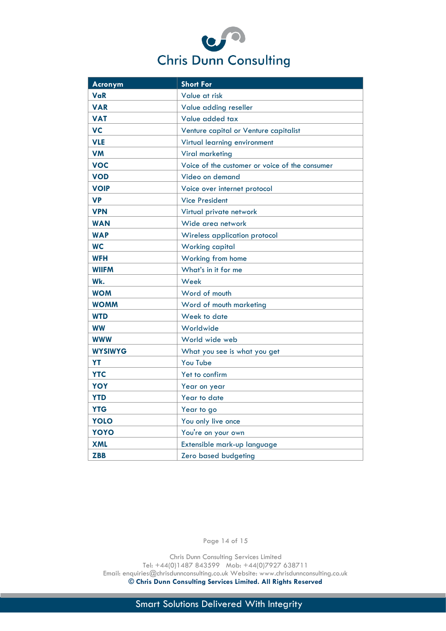| to $H^{\bullet}$ |                       |
|------------------|-----------------------|
|                  | Chris Dunn Consulting |

| Acronym        | <b>Short For</b>                               |
|----------------|------------------------------------------------|
| VaR            | Value at risk                                  |
| <b>VAR</b>     | Value adding reseller                          |
| <b>VAT</b>     | Value added tax                                |
| <b>VC</b>      | Venture capital or Venture capitalist          |
| <b>VLE</b>     | Virtual learning environment                   |
| <b>VM</b>      | <b>Viral marketing</b>                         |
| <b>VOC</b>     | Voice of the customer or voice of the consumer |
| <b>VOD</b>     | Video on demand                                |
| <b>VOIP</b>    | Voice over internet protocol                   |
| <b>VP</b>      | <b>Vice President</b>                          |
| <b>VPN</b>     | Virtual private network                        |
| <b>WAN</b>     | Wide area network                              |
| <b>WAP</b>     | Wireless application protocol                  |
| <b>WC</b>      | <b>Working capital</b>                         |
| <b>WFH</b>     | Working from home                              |
| <b>WIIFM</b>   | What's in it for me                            |
| Wk.            | Week                                           |
| <b>WOM</b>     | Word of mouth                                  |
| <b>WOMM</b>    | Word of mouth marketing                        |
| <b>WTD</b>     | Week to date                                   |
| <b>WW</b>      | Worldwide                                      |
| <b>WWW</b>     | World wide web                                 |
| <b>WYSIWYG</b> | What you see is what you get                   |
| YT             | You Tube                                       |
| <b>YTC</b>     | Yet to confirm                                 |
| YOY            | Year on year                                   |
| <b>YTD</b>     | Year to date                                   |
| <b>YTG</b>     | Year to go                                     |
| <b>YOLO</b>    | You only live once                             |
| YOYO           | You're on your own                             |
| <b>XML</b>     | Extensible mark-up language                    |
| <b>ZBB</b>     | Zero based budgeting                           |

Page 14 of 15

Chris Dunn Consulting Services Limited Tel: +44(0)1487 843599 Mob: +44(0)7927 638711 Email: enquiries[@chrisdunnconsulting.co.uk We](mailto:chris.dunn1@btconnect.com%20W)bsite: [www.chrisdunnconsulting.co.uk](http://www.chrisdunnconsulting.co.uk/) **© Chris Dunn Consulting Services Limited. All Rights Reserved**